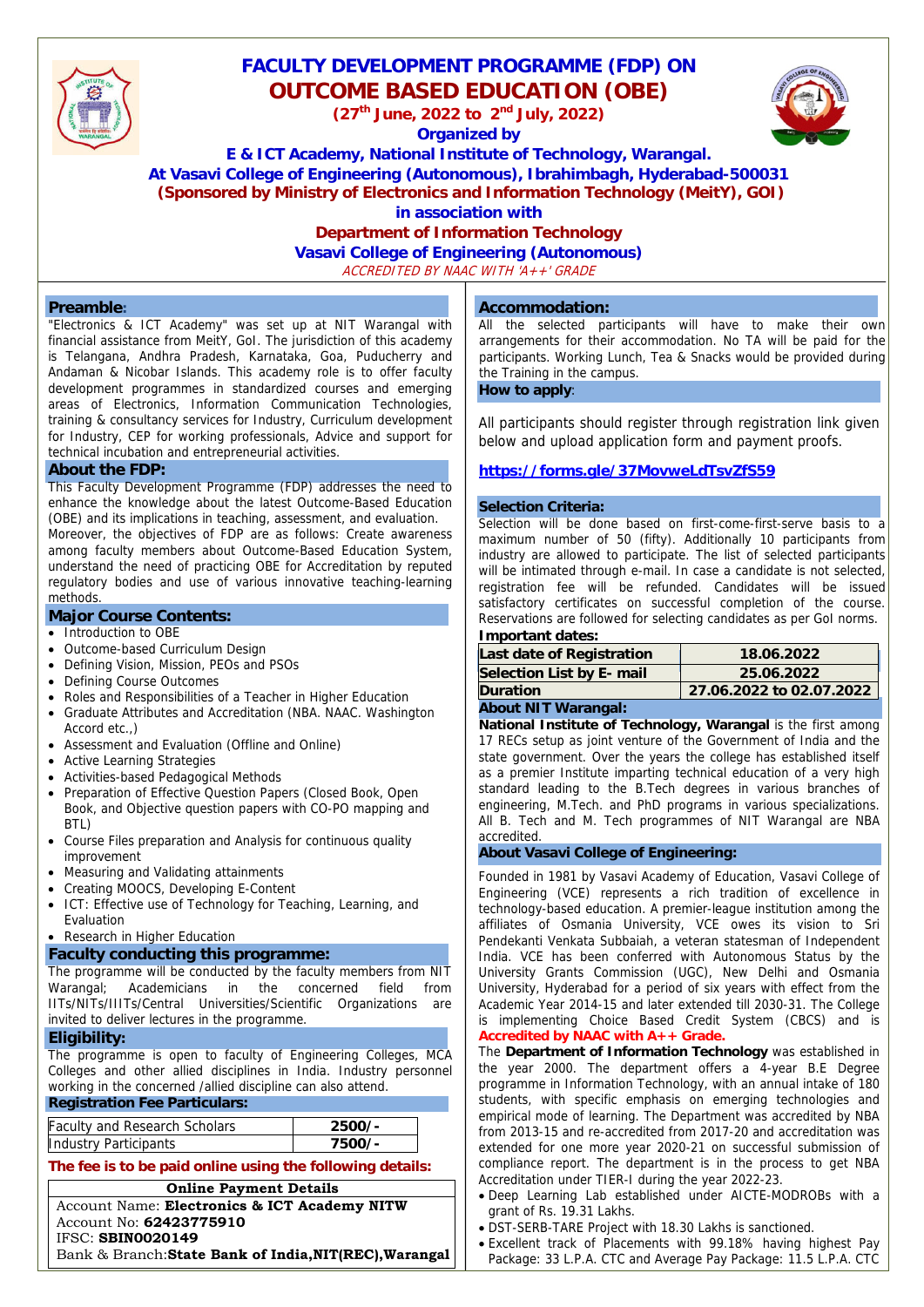

# **FACULTY DEVELOPMENT PROGRAMME (FDP) ON OUTCOME BASED EDUCATION (OBE)**

**(27th June, 2022 to 2nd July, 2022)** 

**Organized by** 



**E & ICT Academy, National Institute of Technology, Warangal.** 

**At Vasavi College of Engineering (Autonomous), Ibrahimbagh, Hyderabad-500031**

 **(Sponsored by Ministry of Electronics and Information Technology (MeitY), GOI)** 

**in association with** 

# **Department of Information Technology**

**Vasavi College of Engineering (Autonomous)** 

ACCREDITED BY NAAC WITH 'A++' GRADE

#### **Preamble:**

"Electronics & ICT Academy" was set up at NIT Warangal with financial assistance from MeitY, GoI. The jurisdiction of this academy is Telangana, Andhra Pradesh, Karnataka, Goa, Puducherry and Andaman & Nicobar Islands. This academy role is to offer faculty development programmes in standardized courses and emerging areas of Electronics, Information Communication Technologies, training & consultancy services for Industry, Curriculum development for Industry, CEP for working professionals, Advice and support for technical incubation and entrepreneurial activities.

#### **About the FDP:**

This Faculty Development Programme (FDP) addresses the need to enhance the knowledge about the latest Outcome-Based Education (OBE) and its implications in teaching, assessment, and evaluation.

Moreover, the objectives of FDP are as follows: Create awareness among faculty members about Outcome-Based Education System, understand the need of practicing OBE for Accreditation by reputed regulatory bodies and use of various innovative teaching-learning methods.

#### **Major Course Contents:**

- Introduction to OBE
- Outcome-based Curriculum Design
- Defining Vision, Mission, PEOs and PSOs
- Defining Course Outcomes
- Roles and Responsibilities of a Teacher in Higher Education
- Graduate Attributes and Accreditation (NBA. NAAC. Washington Accord etc.  $)$
- Assessment and Evaluation (Offline and Online)
- Active Learning Strategies
- Activities-based Pedagogical Methods
- Preparation of Effective Question Papers (Closed Book, Open Book, and Objective question papers with CO-PO mapping and BTL)
- Course Files preparation and Analysis for continuous quality improvement
- Measuring and Validating attainments
- Creating MOOCS, Developing E-Content
- ICT: Effective use of Technology for Teaching, Learning, and Evaluation
- Research in Higher Education

# **Faculty conducting this programme:**

The programme will be conducted by the faculty members from NIT Warangal; Academicians in the concerned field from IITs/NITs/IIITs/Central Universities/Scientific Organizations are invited to deliver lectures in the programme.

#### **Eligibility:**

The programme is open to faculty of Engineering Colleges, MCA Colleges and other allied disciplines in India. Industry personnel working in the concerned /allied discipline can also attend.

#### **Registration Fee Particulars:**

| <b>Faculty and Research Scholars</b> | $2500/-$ |
|--------------------------------------|----------|
| Industry Participants                | 7500/-   |

**The fee is to be paid online using the following details:** 

| <b>Online Payment Details</b>                          |  |  |
|--------------------------------------------------------|--|--|
| Account Name: Electronics & ICT Academy NITW           |  |  |
| Account No: 62423775910                                |  |  |
| <b>IFSC: SBIN0020149</b>                               |  |  |
| Bank & Branch: State Bank of India, NIT(REC), Warangal |  |  |

#### **Accommodation:**

All the selected participants will have to make their own arrangements for their accommodation. No TA will be paid for the participants. Working Lunch, Tea & Snacks would be provided during the Training in the campus.

**How to apply**:

All participants should register through registration link given below and upload application form and payment proofs.

## **https://forms.gle/37MovweLdTsvZfS59**

### **Selection Criteria:**

Selection will be done based on first-come-first-serve basis to a maximum number of 50 (fifty). Additionally 10 participants from industry are allowed to participate. The list of selected participants will be intimated through e-mail. In case a candidate is not selected, registration fee will be refunded. Candidates will be issued satisfactory certificates on successful completion of the course. Reservations are followed for selecting candidates as per GoI norms. **Important dates:** 

| Last date of Registration | 18.06.2022               |
|---------------------------|--------------------------|
| Selection List by E- mail | 25.06.2022               |
| <b>Duration</b>           | 27.06.2022 to 02.07.2022 |
|                           |                          |

#### **About NIT Warangal:**

**National Institute of Technology, Warangal is the first among** 17 RECs setup as joint venture of the Government of India and the state government. Over the years the college has established itself as a premier Institute imparting technical education of a very high standard leading to the B.Tech degrees in various branches of engineering, M.Tech. and PhD programs in various specializations. All B. Tech and M. Tech programmes of NIT Warangal are NBA accredited.

#### **About Vasavi College of Engineering:**

Founded in 1981 by Vasavi Academy of Education, Vasavi College of Engineering (VCE) represents a rich tradition of excellence in technology-based education. A premier-league institution among the affiliates of Osmania University, VCE owes its vision to Sri Pendekanti Venkata Subbaiah, a veteran statesman of Independent India. VCE has been conferred with Autonomous Status by the University Grants Commission (UGC), New Delhi and Osmania University, Hyderabad for a period of six years with effect from the Academic Year 2014-15 and later extended till 2030-31. The College is implementing Choice Based Credit System (CBCS) and is **Accredited by NAAC with A++ Grade.**

The **Department of Information Technology** was established in the year 2000. The department offers a 4-year B.E Degree programme in Information Technology, with an annual intake of 180 students, with specific emphasis on emerging technologies and empirical mode of learning. The Department was accredited by NBA from 2013-15 and re-accredited from 2017-20 and accreditation was extended for one more year 2020-21 on successful submission of compliance report. The department is in the process to get NBA Accreditation under TIER-I during the year 2022-23.

- Deep Learning Lab established under AICTE-MODROBs with a grant of Rs. 19.31 Lakhs.
- DST-SERB-TARE Project with 18.30 Lakhs is sanctioned.
- Excellent track of Placements with 99.18% having highest Pay Package: 33 L.P.A. CTC and Average Pay Package: 11.5 L.P.A. CTC